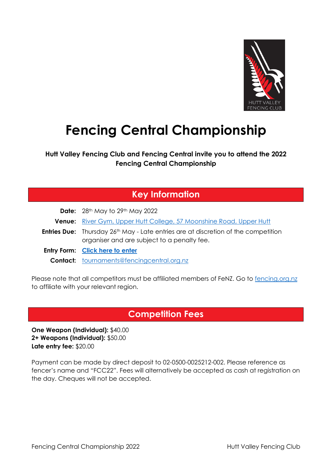

# **Fencing Central Championship**

**Hutt Valley Fencing Club and Fencing Central invite you to attend the 2022 Fencing Central Championship**

#### **Key Information**

| <b>Date:</b> $28th$ May to $29th$ May 2022                                                                                                           |
|------------------------------------------------------------------------------------------------------------------------------------------------------|
| <b>Venue:</b> River Gym, Upper Hutt College, 57 Moonshine Road, Upper Hutt                                                                           |
| <b>Entries Due:</b> Thursday 26 <sup>th</sup> May - Late entries are at discretion of the competition<br>organiser and are subject to a penalty fee. |
| Entry Form: Click here to enter                                                                                                                      |
| <b>Contact:</b> tournaments@fencingcentral.org.nz                                                                                                    |

Please note that all competitors must be affiliated members of FeNZ. Go to [fencing.org.nz](https://www.fencing.org.nz/membership/membership-options) to affiliate with your relevant region.

## **Competition Fees**

**One Weapon (Individual):** \$40.00 **2+ Weapons (Individual):** \$50.00 **Late entry fee:** \$20.00

Payment can be made by direct deposit to 02-0500-0025212-002. Please reference as fencer's name and "FCC22". Fees will alternatively be accepted as cash at registration on the day. Cheques will not be accepted.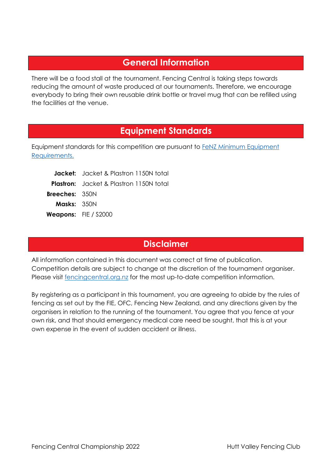### **General Information**

There will be a food stall at the tournament. Fencing Central is taking steps towards reducing the amount of waste produced at our tournaments. Therefore, we encourage everybody to bring their own reusable drink bottle or travel mug that can be refilled using the facilities at the venue.

#### **Equipment Standards**

Equipment standards for this competition are pursuant to FeNZ Minimum Equipment [Requirements.](https://fencing.org.nz/files/Equipment%20requirements%20for%20FeNZ%20Competitions%20-%20updated%202018.pdf)

|                       | <b>Jacket:</b> Jacket & Plastron 1150N total   |
|-----------------------|------------------------------------------------|
|                       | <b>Plastron:</b> Jacket & Plastron 1150N total |
| <b>Breeches: 350N</b> |                                                |
| <b>Masks:</b> $350N$  |                                                |
|                       | <b>Weapons:</b> FIE / S2000                    |

## **Disclaimer**

All information contained in this document was correct at time of publication. Competition details are subject to change at the discretion of the tournament organiser. Please visit [fencingcentral.org.nz](https://fencingcentral.org.nz/) for the most up-to-date competition information.

By registering as a participant in this tournament, you are agreeing to abide by the rules of fencing as set out by the FIE, OFC, Fencing New Zealand, and any directions given by the organisers in relation to the running of the tournament. You agree that you fence at your own risk, and that should emergency medical care need be sought, that this is at your own expense in the event of sudden accident or illness.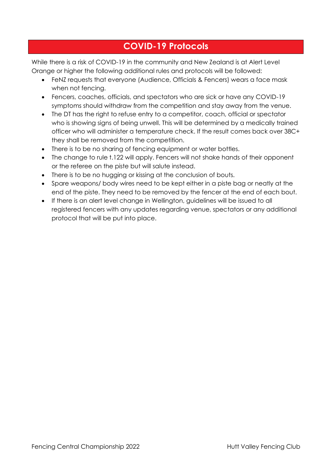## **COVID-19 Protocols**

While there is a risk of COVID-19 in the community and New Zealand is at Alert Level Orange or higher the following additional rules and protocols will be followed:

- FeNZ requests that everyone (Audience, Officials & Fencers) wears a face mask when not fencing.
- Fencers, coaches, officials, and spectators who are sick or have any COVID-19 symptoms should withdraw from the competition and stay away from the venue.
- The DT has the right to refuse entry to a competitor, coach, official or spectator who is showing signs of being unwell. This will be determined by a medically trained officer who will administer a temperature check. If the result comes back over 38C+ they shall be removed from the competition.
- There is to be no sharing of fencing equipment or water bottles.
- The change to rule t.122 will apply. Fencers will not shake hands of their opponent or the referee on the piste but will salute instead.
- There is to be no hugging or kissing at the conclusion of bouts.
- Spare weapons/ body wires need to be kept either in a piste bag or neatly at the end of the piste. They need to be removed by the fencer at the end of each bout.
- If there is an alert level change in Wellington, guidelines will be issued to all registered fencers with any updates regarding venue, spectators or any additional protocol that will be put into place.